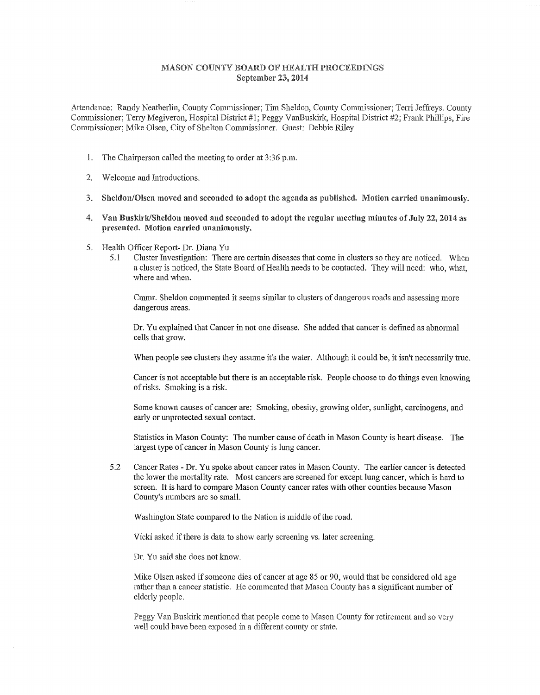## MASON COUNTY BOARD OF HEALTH PROCEEDINGS September 23, 2014

Attendance: Randy Neatherlin, County Commissioner; Tim Sheldon, County Commissioner; Terri Jeffreys. County Commissioner; Terry Megiveron, Hospital District #1; Peggy VanBuskirk, Hospital District #2; Frank Phillips, Fire Commissioner; Mike Olsen, City of Shelton Commissioner. Guest: Debbie Riley

- 1. The Chairperson called the meeting to order at 3:36 p.m.
- 2. Welcome and Introductions.
- 3. Sheldon/Olsen moved and seconded to adopt the agenda as published. Motion carried unanimously.
- 4. Van Buskirk/Sheldon moved and seconded to adopt the regular meeting minutes of July 22, 2014 as presented. Motion carried unanimously.
- 5. Health Officer Report- Dr. Diana Yu
	- 5.1 Cluster Investigation: There are certain diseases that come in clusters so they are noticed. When a cluster is noticed, the State Board of Health needs to be contacted. They will need: who, what, where and when.

Cmmr. Sheldon commented it seems similar to clusters of dangerous roads and assessing more dangerous areas.

Dr. Yu explained that Cancer in not one disease. She added that cancer is defined as abnormal cells that grow.

When people see clusters they assume it's the water. Although it could be, it isn't necessarily true.

Cancer is not acceptable but there is an acceptable iisk. People choose to do things even knowing of risks. Smoking is a risk.

Some known causes of cancer are: Smoking, obesity, growing older, sunlight, carcinogens, and early or unprotected sexual contact.

Statistics in Mason County: The number cause of death in Mason County is heart disease. The largest type of cancer in Mason County is lung cancer.

5.2 Cancer Rates - Dr. Yu spoke about cancer rates in Mason County. The earlier cancer is detected the lower the mortality rate. Most cancers are screened for except lung cancer, which is hard to screen. It is hard to compare Mason County cancer rates with other counties because Mason County's numbers are so small.

Washington State compared to the Nation is middle of the road.

Vicki asked if there is data to show early screening vs. later screening.

Dr. Yu said she does not know.

Mike Olsen asked if someone dies of cancer at age 85 or 90, would that be considered old age rather than a cancer statistic. He commented that Mason County has a significant number of elderly people.

Peggy Van Buskirk mentioned that people come to Mason County for retirement and so very well could have been exposed in a different county or state.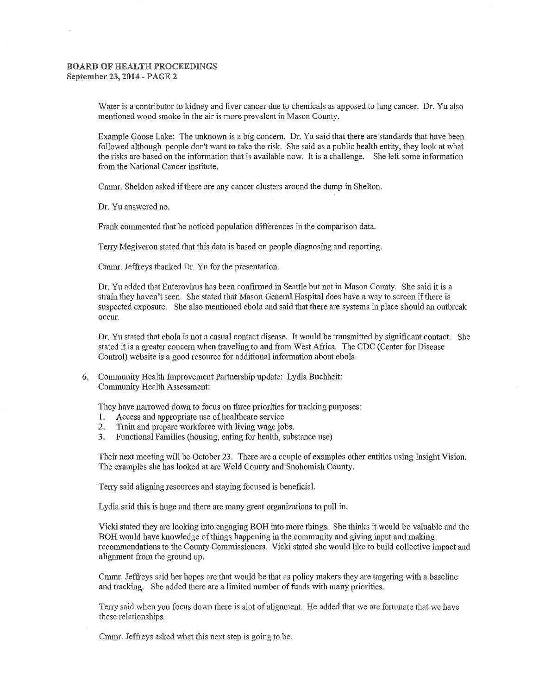## BOARD OF HEALTH PROCEEDINGS September 23, 2014 - PAGE 2

Water is a contributor to kidney and liver cancer due to chemicals as apposed to lung cancer. Dr. Yu also mentioned wood smoke in the air is more prevalent in Mason County.

Example Goose Lake: The unknown is a big concern. Dr. Yu said that there are standards that have been followed although people don't want to take the risk. She said as a public health entity, they look at what the risks are based on the infonnation that is available now. It is a challenge. She left some information from the National Cancer institute.

Cmmr. Sheldon asked if there are any cancer clusters around the dump in Shelton.

Dr. Yu answered no.

Frank commented that he noticed population differences in the comparison data.

Terry Megiveron stated that this data is based on people diagnosing and reporting.

Cmmr. Jeffreys thanked Dr. Yu for the presentation.

Dr. Yu added that Enterovirus has been confirmed in Seattle but not in Mason County. She said it is a strain they haven't seen. She stated that Mason General Hospital does have a way to screen if there is suspected exposure. She also mentioned ebola and said that there are systems in place should an outbreak occur.

Dr. Yu stated that ebola is not a casual contact disease. It would be transmitted by significant contact. She stated it is a greater concern when traveling to and from West Africa. The CDC (Center for Disease Control) website is a good resource for additional infonnation about ebola.

6. Community Health Improvement Partnership update: Lydia Buchheit: Community Health Assessment:

They have narrowed down to focus on three priorities for tracking purposes:

- I. Access and appropriate use of healthcare service
- 2. Train and prepare workforce with living wage jobs.
- 3. Functional Families (housing, eating for health, substance use)

Their next meeting will be October 23. There are a couple of examples other entities using Insight Vision. The examples she has looked at are Weld County and Snohomish County.

Terry said aligning resources and staying focused is beneficial.

Lydia said this is huge and there are many great organizations to pull in.

Vicki stated they are looking into engaging BOH into more things. She thinks it would be valuable and the BOH would have knowledge of things happening in the community and giving input and making recommendations to the County Commissioners. Vicki stated she would like to build collective impact and alignment from the ground up.

Cmmr. Jeffreys said her hopes are that would be that as policy makers they are targeting with a baseline and tracking. She added there are a limited number of funds with many priorities.

Terry said when you focus down there is alot of alignment. He added that we are fortunate that we have these relationships.

Cmmr. Jeffreys asked what this next step is going to be.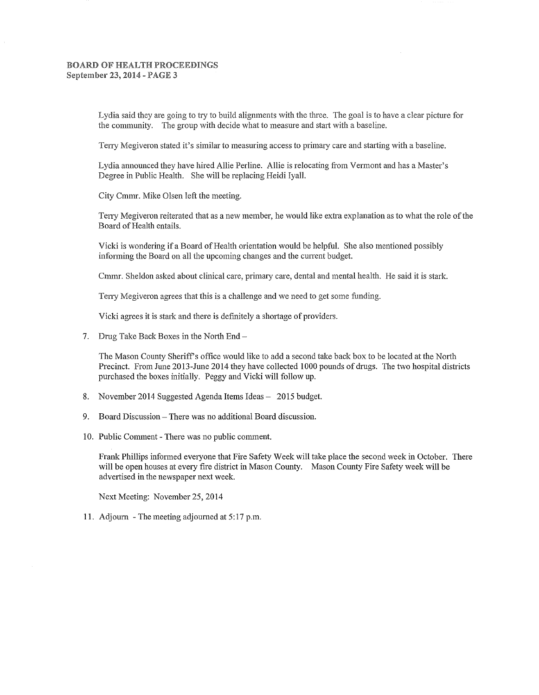## BOARD OF HEALTH PROCEEDINGS September 23, 2014 - PAGE 3

Lydia said they are going to try to build aligmnents with the three. The goal is to have a clear picture for the community. The group with decide what to measure and start with a baseline.

Terry Megiveron stated it's similar to measuring access to primary care and starting with a baseline.

Lydia announced they have hired Allie Perline. Allie is relocating from Vermont and has a Master's Degree in Public Health. She will be replacing Heidi Iyall.

City Cmmr. Mike Olsen left the meeting.

Teny Megiveron reiterated that as a new member, he would like extra explanation as to what the role of the Board of Health entails.

Vicki is wondering if a Board of Health orientation would be helpful. She also mentioned possibly informing the Board on all the upcoming changes and the current budget.

Cmmr. Sheldon asked about clinical care, primary care, dental and mental health. He said it is stark.

Terry Megiveron agrees that this is a challenge and we need to get some funding.

Vicki agrees it is stark and there is defmitely a shortage of providers.

7. Drug Take Back Boxes in the North  $End-$ 

The Mason County Sheriff's office would like to add a second take back box to be located at the North Precinct. From June 2013-June 2014 they have collected 1000 pounds of drugs. The two hospital districts purchased the boxes initially. Peggy and Vicki will follow up.

- 8. November 2014 Suggested Agenda Items Ideas 2015 budget.
- 9. Board Discussion There was no additional Board discussion.
- 10. Public Comment There was no public comment.

Frank Phillips infonned everyone that Fire Safety Week will take place the second week in October. There will be open houses at every fire district in Mason County. Mason County Fire Safety week will be advertised in the newspaper next week.

Next Meeting: November 25, 2014

11. Adjourn - The meeting adjourned at 5:17 p.m.